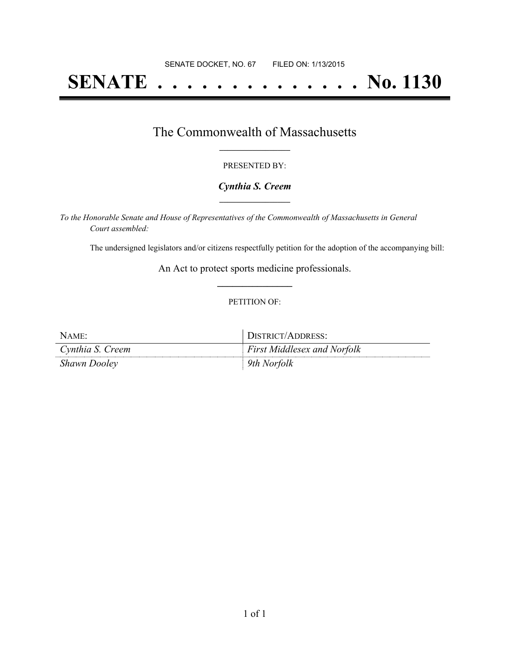# **SENATE . . . . . . . . . . . . . . No. 1130**

### The Commonwealth of Massachusetts **\_\_\_\_\_\_\_\_\_\_\_\_\_\_\_\_\_**

#### PRESENTED BY:

#### *Cynthia S. Creem* **\_\_\_\_\_\_\_\_\_\_\_\_\_\_\_\_\_**

*To the Honorable Senate and House of Representatives of the Commonwealth of Massachusetts in General Court assembled:*

The undersigned legislators and/or citizens respectfully petition for the adoption of the accompanying bill:

An Act to protect sports medicine professionals. **\_\_\_\_\_\_\_\_\_\_\_\_\_\_\_**

#### PETITION OF:

| NAME:               | DISTRICT/ADDRESS:                  |
|---------------------|------------------------------------|
| Cynthia S. Creem    | <b>First Middlesex and Norfolk</b> |
| <b>Shawn Dooley</b> | 9th Norfolk                        |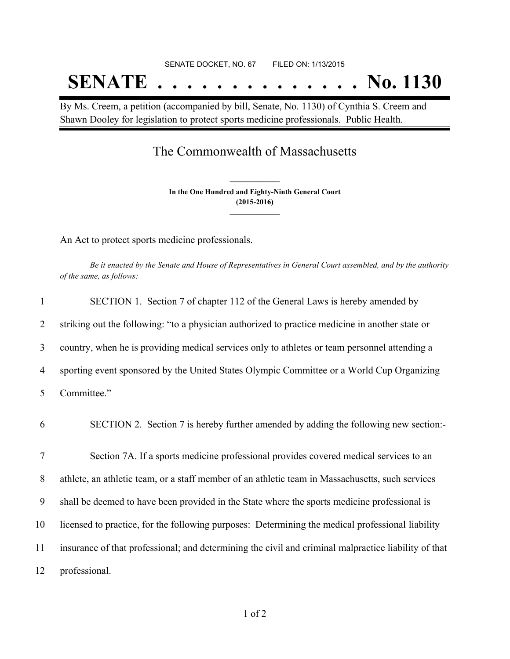# SENATE DOCKET, NO. 67 FILED ON: 1/13/2015 **SENATE . . . . . . . . . . . . . . No. 1130**

By Ms. Creem, a petition (accompanied by bill, Senate, No. 1130) of Cynthia S. Creem and Shawn Dooley for legislation to protect sports medicine professionals. Public Health.

## The Commonwealth of Massachusetts

**In the One Hundred and Eighty-Ninth General Court (2015-2016) \_\_\_\_\_\_\_\_\_\_\_\_\_\_\_**

**\_\_\_\_\_\_\_\_\_\_\_\_\_\_\_**

An Act to protect sports medicine professionals.

Be it enacted by the Senate and House of Representatives in General Court assembled, and by the authority *of the same, as follows:*

| $\mathbf{1}$ | SECTION 1. Section 7 of chapter 112 of the General Laws is hereby amended by                         |
|--------------|------------------------------------------------------------------------------------------------------|
| 2            | striking out the following: "to a physician authorized to practice medicine in another state or      |
| 3            | country, when he is providing medical services only to athletes or team personnel attending a        |
| 4            | sporting event sponsored by the United States Olympic Committee or a World Cup Organizing            |
| 5            | Committee."                                                                                          |
| 6            | SECTION 2. Section 7 is hereby further amended by adding the following new section:-                 |
| 7            | Section 7A. If a sports medicine professional provides covered medical services to an                |
| 8            | athlete, an athletic team, or a staff member of an athletic team in Massachusetts, such services     |
| 9            | shall be deemed to have been provided in the State where the sports medicine professional is         |
| 10           | licensed to practice, for the following purposes: Determining the medical professional liability     |
| 11           | insurance of that professional; and determining the civil and criminal malpractice liability of that |
| 12           | professional.                                                                                        |